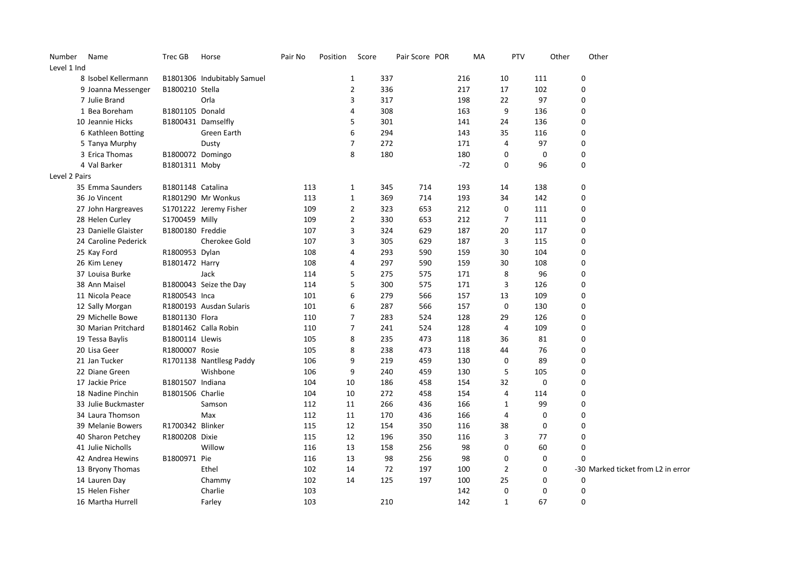| Number        | Name                 | Trec GB           | Horse                       | Pair No | Position | Score          |           | Pair Score POR | MA         | PTV            | Other       |             | Other                              |
|---------------|----------------------|-------------------|-----------------------------|---------|----------|----------------|-----------|----------------|------------|----------------|-------------|-------------|------------------------------------|
| Level 1 Ind   |                      |                   |                             |         |          |                |           |                |            |                |             |             |                                    |
|               | 8 Isobel Kellermann  |                   | B1801306 Indubitably Samuel |         |          | $\mathbf{1}$   | 337       |                | 216        | 10             | 111         | 0           |                                    |
|               | 9 Joanna Messenger   | B1800210 Stella   |                             |         |          | $\overline{2}$ | 336       |                | 217        | 17             | 102         | 0           |                                    |
|               | 7 Julie Brand        |                   | Orla                        |         |          | 3              | 317       |                | 198        | 22             | 97          | $\mathbf 0$ |                                    |
|               | 1 Bea Boreham        | B1801105 Donald   |                             |         |          | 4              | 308       |                | 163        | 9              | 136         | 0           |                                    |
|               | 10 Jeannie Hicks     |                   | B1800431 Damselfly          |         |          | 5              | 301       |                | 141        | 24             | 136         | 0           |                                    |
|               | 6 Kathleen Botting   |                   | Green Earth                 |         |          | 6              | 294       |                | 143        | 35             | 116         | 0           |                                    |
|               | 5 Tanya Murphy       |                   | Dusty                       |         |          | $\overline{7}$ | 272       |                | 171        | 4              | 97          | 0           |                                    |
|               | 3 Erica Thomas       | B1800072 Domingo  |                             |         |          | 8              | 180       |                | 180        | 0              | 0           | $\pmb{0}$   |                                    |
|               | 4 Val Barker         | B1801311 Moby     |                             |         |          |                |           |                | $-72$      | 0              | 96          | 0           |                                    |
| Level 2 Pairs |                      |                   |                             |         |          |                |           |                |            |                |             |             |                                    |
|               | 35 Emma Saunders     | B1801148 Catalina |                             | 113     |          | $\mathbf{1}$   | 345       | 714            | 193        | 14             | 138         | 0           |                                    |
|               | 36 Jo Vincent        |                   | R1801290 Mr Wonkus          | 113     |          | $\mathbf{1}$   | 369       | 714            | 193        | 34             | 142         | 0           |                                    |
|               | 27 John Hargreaves   |                   | S1701222 Jeremy Fisher      | 109     |          | $\overline{2}$ | 323       | 653            | 212        | 0              | 111         | 0           |                                    |
|               | 28 Helen Curley      | S1700459 Milly    |                             | 109     |          | $\overline{2}$ | 330       | 653            | 212        | $\overline{7}$ | 111         | 0           |                                    |
|               | 23 Danielle Glaister | B1800180 Freddie  |                             | 107     |          | 3              | 324       | 629            | 187        | 20             | 117         | 0           |                                    |
|               | 24 Caroline Pederick |                   | Cherokee Gold               | 107     |          | 3              | 305       | 629            | 187        | 3              | 115         | 0           |                                    |
|               | 25 Kay Ford          | R1800953 Dylan    |                             | 108     |          | $\overline{4}$ | 293       | 590            | 159        | 30             | 104         | $\mathbf 0$ |                                    |
|               | 26 Kim Leney         | B1801472 Harry    |                             | 108     |          | $\overline{4}$ | 297       | 590            | 159        | 30             | 108         | 0           |                                    |
|               | 37 Louisa Burke      |                   | Jack                        | 114     |          | 5              | 275       | 575            | 171        | 8              | 96          | $\mathbf 0$ |                                    |
|               | 38 Ann Maisel        |                   | B1800043 Seize the Day      | 114     |          | 5              | 300       | 575            | 171        | 3              | 126         | 0           |                                    |
|               | 11 Nicola Peace      | R1800543 Inca     |                             | 101     |          | 6              | 279       | 566            | 157        | 13             | 109         | 0           |                                    |
|               | 12 Sally Morgan      |                   | R1800193 Ausdan Sularis     | 101     |          | 6              | 287       | 566            | 157        | 0              | 130         | 0           |                                    |
|               | 29 Michelle Bowe     | B1801130 Flora    |                             | 110     |          | $\overline{7}$ | 283       | 524            | 128        | 29             | 126         | 0           |                                    |
|               | 30 Marian Pritchard  |                   | B1801462 Calla Robin        | 110     |          | $\overline{7}$ | 241       | 524            | 128        | 4              | 109         | 0           |                                    |
|               | 19 Tessa Baylis      | B1800114 Llewis   |                             | 105     |          | 8              | 235       | 473            | 118        | 36             | 81          | 0           |                                    |
|               | 20 Lisa Geer         | R1800007 Rosie    |                             | 105     |          | 8              | 238       | 473            | 118        | 44             | 76          | 0           |                                    |
|               | 21 Jan Tucker        |                   | R1701138 Nantllesg Paddy    | 106     |          | 9              | 219       | 459            | 130        | 0              | 89          | 0           |                                    |
|               | 22 Diane Green       |                   | Wishbone                    | 106     |          | 9              | 240       | 459            | 130        | 5              | 105         | 0           |                                    |
|               | 17 Jackie Price      | B1801507 Indiana  |                             | 104     | 10       |                | 186       | 458            | 154        | 32             | 0           | 0           |                                    |
|               | 18 Nadine Pinchin    | B1801506 Charlie  |                             | 104     | 10       |                | 272       | 458            | 154        | 4              | 114         | 0           |                                    |
|               | 33 Julie Buckmaster  |                   | Samson                      | 112     | 11       |                | 266       | 436            | 166        | $\mathbf{1}$   | 99          | $\mathbf 0$ |                                    |
|               | 34 Laura Thomson     |                   | Max                         | 112     | 11       |                | 170       | 436            | 166        | 4              | 0           | 0           |                                    |
|               | 39 Melanie Bowers    | R1700342 Blinker  |                             | 115     | 12       |                | 154       | 350            | 116        | 38             | $\mathbf 0$ | 0           |                                    |
|               | 40 Sharon Petchey    | R1800208 Dixie    |                             | 115     | 12       |                | 196       | 350            | 116        | 3              | 77          | 0           |                                    |
|               | 41 Julie Nicholls    |                   | Willow                      | 116     | 13       |                | 158       | 256            | 98         | $\Omega$       | 60          | 0           |                                    |
|               | 42 Andrea Hewins     | B1800971 Pie      |                             | 116     | 13       |                | 98        | 256            | 98         | 0              | 0           | $\mathbf 0$ |                                    |
|               |                      |                   |                             |         |          |                |           |                |            | $\overline{2}$ |             |             |                                    |
|               | 13 Bryony Thomas     |                   | Ethel                       | 102     | 14<br>14 |                | 72<br>125 | 197<br>197     | 100<br>100 | 25             | 0<br>0      |             | -30 Marked ticket from L2 in error |
|               | 14 Lauren Day        |                   | Chammy                      | 102     |          |                |           |                |            |                |             | 0<br>0      |                                    |
|               | 15 Helen Fisher      |                   | Charlie                     | 103     |          |                |           |                | 142        | 0              | 0           |             |                                    |
|               | 16 Martha Hurrell    |                   | Farley                      | 103     |          |                | 210       |                | 142        | $\mathbf{1}$   | 67          | $\mathbf 0$ |                                    |